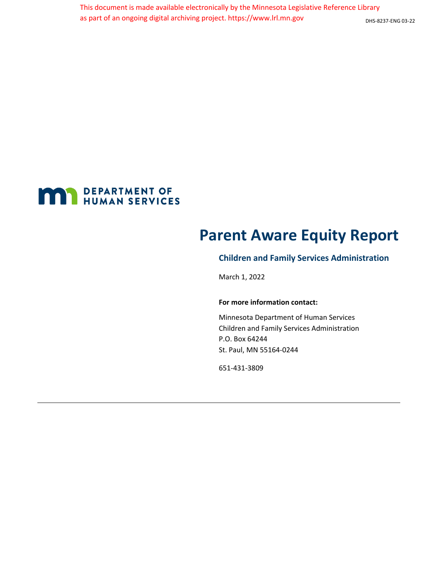

# **Parent Aware Equity Report**

# **Children and Family Services Administration**

March 1, 2022

#### **For more information contact:**

Minnesota Department of Human Services Children and Family Services Administration P.O. Box 64244 St. Paul, MN 55164-0244

651-431-3809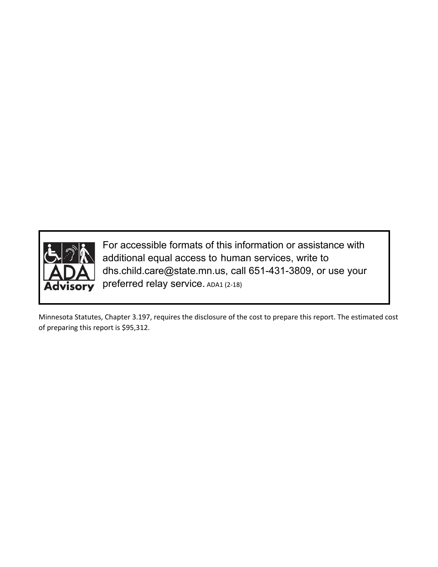

For accessible formats of this information or assistance with additional equal access to human services, write to [dhs.child.care@state.mn.us,](mailto:dhs.child.care@state.mn.us) call 651-431-3809, or use your preferred relay service. ADA1 (2-18)

Minnesota Statutes, Chapter 3.197, requires the disclosure of the cost to prepare this report. The estimated cost of preparing this report is \$95,312.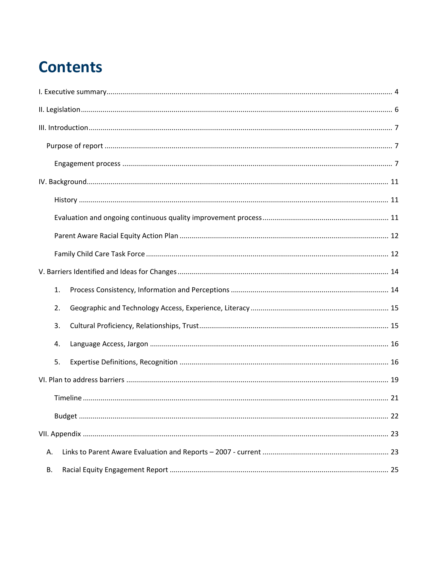# **Contents**

| 1. |  |
|----|--|
| 2. |  |
| 3. |  |
| 4. |  |
| 5. |  |
|    |  |
|    |  |
|    |  |
|    |  |
| А. |  |
| В. |  |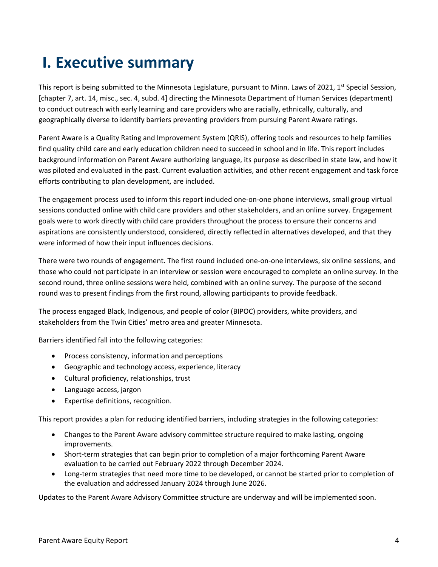# <span id="page-3-0"></span>**I. Executive summary**

This report is being submitted to the Minnesota Legislature, pursuant to Minn. Laws of 2021,  $1^{st}$  Special Session, [chapter 7, art. 14, misc., sec. 4, subd. 4] directing the Minnesota Department of Human Services (department) to conduct outreach with early learning and care providers who are racially, ethnically, culturally, and geographically diverse to identify barriers preventing providers from pursuing Parent Aware ratings.

Parent Aware is a Quality Rating and Improvement System (QRIS), offering tools and resources to help families find quality child care and early education children need to succeed in school and in life. This report includes background information on Parent Aware authorizing language, its purpose as described in state law, and how it was piloted and evaluated in the past. Current evaluation activities, and other recent engagement and task force efforts contributing to plan development, are included.

The engagement process used to inform this report included one-on-one phone interviews, small group virtual sessions conducted online with child care providers and other stakeholders, and an online survey. Engagement goals were to work directly with child care providers throughout the process to ensure their concerns and aspirations are consistently understood, considered, directly reflected in alternatives developed, and that they were informed of how their input influences decisions.

There were two rounds of engagement. The first round included one-on-one interviews, six online sessions, and those who could not participate in an interview or session were encouraged to complete an online survey. In the second round, three online sessions were held, combined with an online survey. The purpose of the second round was to present findings from the first round, allowing participants to provide feedback.

The process engaged Black, Indigenous, and people of color (BIPOC) providers, white providers, and stakeholders from the Twin Cities' metro area and greater Minnesota.

Barriers identified fall into the following categories:

- Process consistency, information and perceptions
- Geographic and technology access, experience, literacy
- Cultural proficiency, relationships, trust
- Language access, jargon
- Expertise definitions, recognition.

This report provides a plan for reducing identified barriers, including strategies in the following categories:

- Changes to the Parent Aware advisory committee structure required to make lasting, ongoing improvements.
- Short-term strategies that can begin prior to completion of a major forthcoming Parent Aware evaluation to be carried out February 2022 through December 2024.
- Long-term strategies that need more time to be developed, or cannot be started prior to completion of the evaluation and addressed January 2024 through June 2026.

Updates to the Parent Aware Advisory Committee structure are underway and will be implemented soon.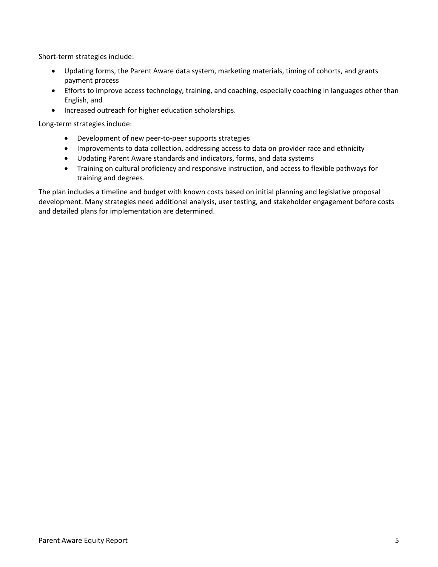Short-term strategies include:

- Updating forms, the Parent Aware data system, marketing materials, timing of cohorts, and grants payment process
- Efforts to improve access technology, training, and coaching, especially coaching in languages other than English, and
- Increased outreach for higher education scholarships.

Long-term strategies include:

- Development of new peer-to-peer supports strategies
- Improvements to data collection, addressing access to data on provider race and ethnicity
- Updating Parent Aware standards and indicators, forms, and data systems
- Training on cultural proficiency and responsive instruction, and access to flexible pathways for training and degrees.

The plan includes a timeline and budget with known costs based on initial planning and legislative proposal development. Many strategies need additional analysis, user testing, and stakeholder engagement before costs and detailed plans for implementation are determined.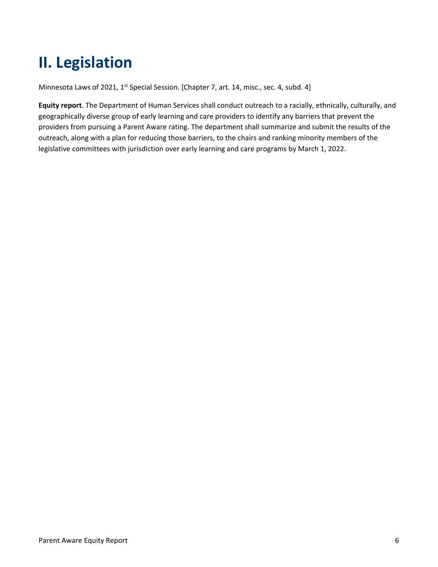# <span id="page-5-0"></span>**II. Legislation**

Minnesota Laws of 2021, 1<sup>st</sup> Special Session. [Chapter 7, art. 14, misc., sec. 4, subd. 4]

**Equity report**. The Department of Human Services shall conduct outreach to a racially, ethnically, culturally, and geographically diverse group of early learning and care providers to identify any barriers that prevent the providers from pursuing a Parent Aware rating. The department shall summarize and submit the results of the outreach, along with a plan for reducing those barriers, to the chairs and ranking minority members of the legislative committees with jurisdiction over early learning and care programs by March 1, 2022.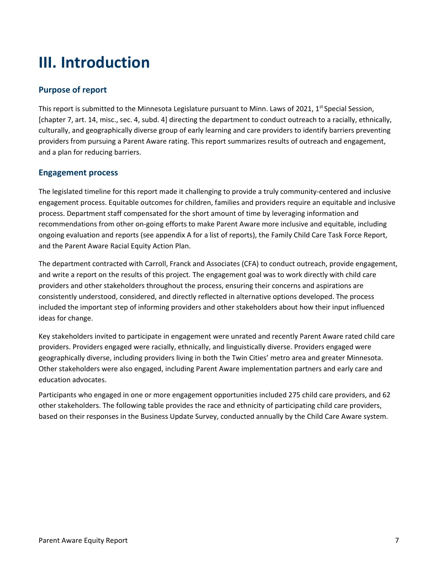# <span id="page-6-0"></span>**III. Introduction**

# <span id="page-6-1"></span>**Purpose of report**

This report is submitted to the Minnesota Legislature pursuant to Minn. Laws of 2021,  $1<sup>st</sup>$  Special Session, [chapter 7, art. 14, misc., sec. 4, subd. 4] directing the department to conduct outreach to a racially, ethnically, culturally, and geographically diverse group of early learning and care providers to identify barriers preventing providers from pursuing a Parent Aware rating. This report summarizes results of outreach and engagement, and a plan for reducing barriers.

## <span id="page-6-2"></span>**Engagement process**

The legislated timeline for this report made it challenging to provide a truly community-centered and inclusive engagement process. Equitable outcomes for children, families and providers require an equitable and inclusive process. Department staff compensated for the short amount of time by leveraging information and recommendations from other on-going efforts to make Parent Aware more inclusive and equitable, including ongoing evaluation and reports (see appendix A for a list of reports), the Family Child Care Task Force Report, and the Parent Aware Racial Equity Action Plan.

The department contracted with Carroll, Franck and Associates (CFA) to conduct outreach, provide engagement, and write a report on the results of this project. The engagement goal was to work directly with child care providers and other stakeholders throughout the process, ensuring their concerns and aspirations are consistently understood, considered, and directly reflected in alternative options developed. The process included the important step of informing providers and other stakeholders about how their input influenced ideas for change.

Key stakeholders invited to participate in engagement were unrated and recently Parent Aware rated child care providers. Providers engaged were racially, ethnically, and linguistically diverse. Providers engaged were geographically diverse, including providers living in both the Twin Cities' metro area and greater Minnesota. Other stakeholders were also engaged, including Parent Aware implementation partners and early care and education advocates.

Participants who engaged in one or more engagement opportunities included 275 child care providers, and 62 other stakeholders. The following table provides the race and ethnicity of participating child care providers, based on their responses in the Business Update Survey, conducted annually by the Child Care Aware system.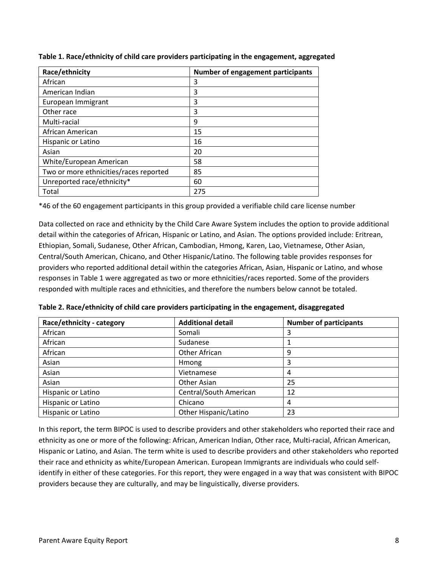| Race/ethnicity                         | <b>Number of engagement participants</b> |
|----------------------------------------|------------------------------------------|
| African                                | 3                                        |
| American Indian                        | 3                                        |
| European Immigrant                     | 3                                        |
| Other race                             | 3                                        |
| Multi-racial                           | 9                                        |
| African American                       | 15                                       |
| Hispanic or Latino                     | 16                                       |
| Asian                                  | 20                                       |
| White/European American                | 58                                       |
| Two or more ethnicities/races reported | 85                                       |
| Unreported race/ethnicity*             | 60                                       |
| Total                                  | 275                                      |

**Table 1. Race/ethnicity of child care providers participating in the engagement, aggregated**

\*46 of the 60 engagement participants in this group provided a verifiable child care license number

Data collected on race and ethnicity by the Child Care Aware System includes the option to provide additional detail within the categories of African, Hispanic or Latino, and Asian. The options provided include: Eritrean, Ethiopian, Somali, Sudanese, Other African, Cambodian, Hmong, Karen, Lao, Vietnamese, Other Asian, Central/South American, Chicano, and Other Hispanic/Latino. The following table provides responses for providers who reported additional detail within the categories African, Asian, Hispanic or Latino, and whose responses in Table 1 were aggregated as two or more ethnicities/races reported. Some of the providers responded with multiple races and ethnicities, and therefore the numbers below cannot be totaled.

| Race/ethnicity - category | <b>Additional detail</b> | <b>Number of participants</b> |  |
|---------------------------|--------------------------|-------------------------------|--|
| African                   | Somali                   |                               |  |
| African                   | Sudanese                 |                               |  |
| African                   | Other African            | 9                             |  |
| Asian                     | Hmong                    | 3                             |  |
| Asian                     | Vietnamese               | 4                             |  |
| Asian                     | Other Asian              | 25                            |  |
| Hispanic or Latino        | Central/South American   | 12                            |  |
| Hispanic or Latino        | Chicano                  | 4                             |  |
| Hispanic or Latino        | Other Hispanic/Latino    | 23                            |  |

**Table 2. Race/ethnicity of child care providers participating in the engagement, disaggregated** 

In this report, the term BIPOC is used to describe providers and other stakeholders who reported their race and ethnicity as one or more of the following: African, American Indian, Other race, Multi-racial, African American, Hispanic or Latino, and Asian. The term white is used to describe providers and other stakeholders who reported their race and ethnicity as white/European American. European Immigrants are individuals who could selfidentify in either of these categories. For this report, they were engaged in a way that was consistent with BIPOC providers because they are culturally, and may be linguistically, diverse providers.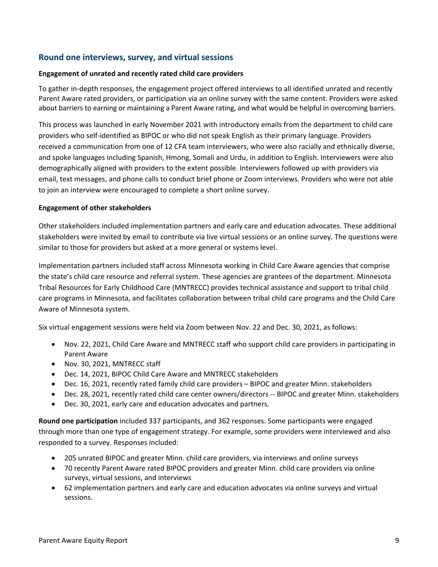## **Round one interviews, survey, and virtual sessions**

### **Engagement of unrated and recently rated child care providers**

To gather in-depth responses, the engagement project offered interviews to all identified unrated and recently Parent Aware rated providers, or participation via an online survey with the same content. Providers were asked about barriers to earning or maintaining a Parent Aware rating, and what would be helpful in overcoming barriers.

This process was launched in early November 2021 with introductory emails from the department to child care providers who self-identified as BIPOC or who did not speak English as their primary language. Providers received a communication from one of 12 CFA team interviewers, who were also racially and ethnically diverse, and spoke languages including Spanish, Hmong, Somali and Urdu, in addition to English. Interviewers were also demographically aligned with providers to the extent possible. Interviewers followed up with providers via email, text messages, and phone calls to conduct brief phone or Zoom interviews. Providers who were not able to join an interview were encouraged to complete a short online survey.

### **Engagement of other stakeholders**

Other stakeholders included implementation partners and early care and education advocates. These additional stakeholders were invited by email to contribute via live virtual sessions or an online survey. The questions were similar to those for providers but asked at a more general or systems level.

Implementation partners included staff across Minnesota working in Child Care Aware agencies that comprise the state's child care resource and referral system. These agencies are grantees of the department. Minnesota Tribal Resources for Early Childhood Care (MNTRECC) provides technical assistance and support to tribal child care programs in Minnesota, and facilitates collaboration between tribal child care programs and the Child Care Aware of Minnesota system.

Six virtual engagement sessions were held via Zoom between Nov. 22 and Dec. 30, 2021, as follows:

- Nov. 22, 2021, Child Care Aware and MNTRECC staff who support child care providers in participating in Parent Aware
- Nov. 30, 2021, MNTRECC staff
- Dec. 14, 2021, BIPOC Child Care Aware and MNTRECC stakeholders
- Dec. 16, 2021, recently rated family child care providers BIPOC and greater Minn. stakeholders
- Dec. 28, 2021, recently rated child care center owners/directors -- BIPOC and greater Minn. stakeholders
- Dec. 30, 2021, early care and education advocates and partners.

**Round one participation** included 337 participants, and 362 responses. Some participants were engaged through more than one type of engagement strategy. For example, some providers were interviewed and also responded to a survey. Responses included:

- 205 unrated BIPOC and greater Minn. child care providers, via interviews and online surveys
- 70 recently Parent Aware rated BIPOC providers and greater Minn. child care providers via online surveys, virtual sessions, and interviews
- 62 implementation partners and early care and education advocates via online surveys and virtual sessions.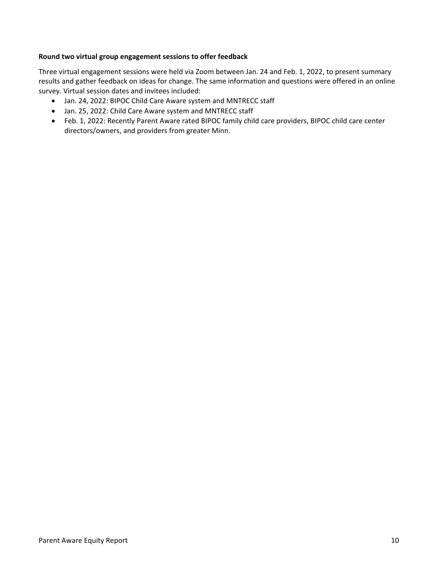### **Round two virtual group engagement sessions to offer feedback**

Three virtual engagement sessions were held via Zoom between Jan. 24 and Feb. 1, 2022, to present summary results and gather feedback on ideas for change. The same information and questions were offered in an online survey. Virtual session dates and invitees included:

- Jan. 24, 2022: BIPOC Child Care Aware system and MNTRECC staff
- Jan. 25, 2022: Child Care Aware system and MNTRECC staff
- Feb. 1, 2022: Recently Parent Aware rated BIPOC family child care providers, BIPOC child care center directors/owners, and providers from greater Minn.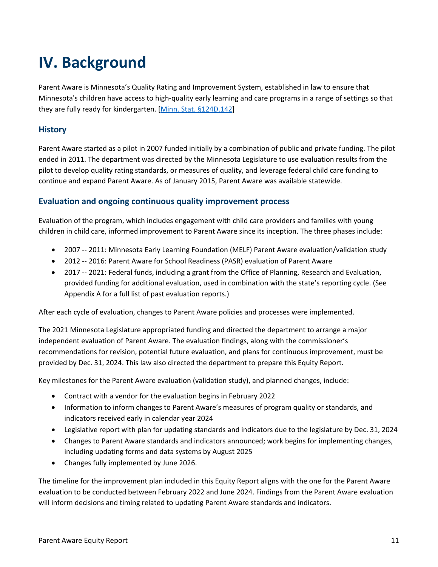# <span id="page-10-0"></span>**IV. Background**

Parent Aware is Minnesota's Quality Rating and Improvement System, established in law to ensure that Minnesota's children have access to high-quality early learning and care programs in a range of settings so that they are fully ready for kindergarten. [Minn. Stat. [§124D.142\]](https://www.revisor.mn.gov/statutes/cite/124D.142)

# <span id="page-10-1"></span>**History**

Parent Aware started as a pilot in 2007 funded initially by a combination of public and private funding. The pilot ended in 2011. The department was directed by the Minnesota Legislature to use evaluation results from the pilot to develop quality rating standards, or measures of quality, and leverage federal child care funding to continue and expand Parent Aware. As of January 2015, Parent Aware was available statewide.

## <span id="page-10-2"></span>**Evaluation and ongoing continuous quality improvement process**

Evaluation of the program, which includes engagement with child care providers and families with young children in child care, informed improvement to Parent Aware since its inception. The three phases include:

- 2007 -- 2011: Minnesota Early Learning Foundation (MELF) Parent Aware evaluation/validation study
- 2012 -- 2016: Parent Aware for School Readiness (PASR) evaluation of Parent Aware
- 2017 -- 2021: Federal funds, including a grant from the Office of Planning, Research and Evaluation, provided funding for additional evaluation, used in combination with the state's reporting cycle. (See Appendix A for a full list of past evaluation reports.)

After each cycle of evaluation, changes to Parent Aware policies and processes were implemented.

The 2021 Minnesota Legislature appropriated funding and directed the department to arrange a major independent evaluation of Parent Aware. The evaluation findings, along with the commissioner's recommendations for revision, potential future evaluation, and plans for continuous improvement, must be provided by Dec. 31, 2024. This law also directed the department to prepare this Equity Report.

Key milestones for the Parent Aware evaluation (validation study), and planned changes, include:

- Contract with a vendor for the evaluation begins in February 2022
- Information to inform changes to Parent Aware's measures of program quality or standards, and indicators received early in calendar year 2024
- Legislative report with plan for updating standards and indicators due to the legislature by Dec. 31, 2024
- Changes to Parent Aware standards and indicators announced; work begins for implementing changes, including updating forms and data systems by August 2025
- Changes fully implemented by June 2026.

The timeline for the improvement plan included in this Equity Report aligns with the one for the Parent Aware evaluation to be conducted between February 2022 and June 2024. Findings from the Parent Aware evaluation will inform decisions and timing related to updating Parent Aware standards and indicators.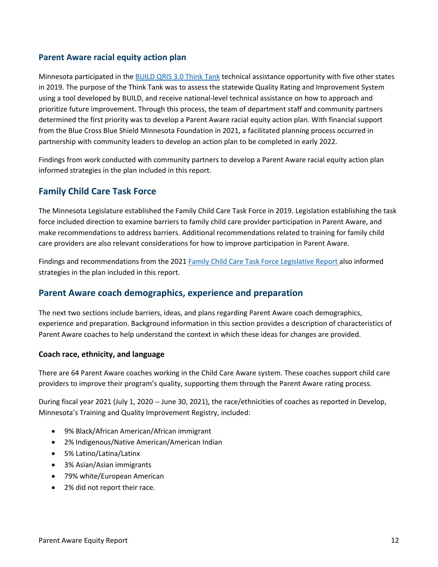## <span id="page-11-0"></span>**Parent Aware racial equity action plan**

Minnesota participated in the [BUILD QRIS 3.0 Think Tank](https://buildinitiative.org/qris-resources/) technical assistance opportunity with five other states in 2019. The purpose of the Think Tank was to assess the statewide Quality Rating and Improvement System using a tool developed by BUILD, and receive national-level technical assistance on how to approach and prioritize future improvement. Through this process, the team of department staff and community partners determined the first priority was to develop a Parent Aware racial equity action plan. With financial support from the Blue Cross Blue Shield Minnesota Foundation in 2021, a facilitated planning process occurred in partnership with community leaders to develop an action plan to be completed in early 2022.

Findings from work conducted with community partners to develop a Parent Aware racial equity action plan informed strategies in the plan included in this report.

## <span id="page-11-1"></span>**Family Child Care Task Force**

The Minnesota Legislature established the Family Child Care Task Force in 2019. Legislation establishing the task force included direction to examine barriers to family child care provider participation in Parent Aware, and make recommendations to address barriers. Additional recommendations related to training for family child care providers are also relevant considerations for how to improve participation in Parent Aware.

Findings and recommendations from the 2021 [Family Child Care Task Force Legislative Report](https://edocs.dhs.state.mn.us/lfserver/Public/DHS-8074-ENG) also informed strategies in the plan included in this report.

## **Parent Aware coach demographics, experience and preparation**

The next two sections include barriers, ideas, and plans regarding Parent Aware coach demographics, experience and preparation. Background information in this section provides a description of characteristics of Parent Aware coaches to help understand the context in which these ideas for changes are provided.

### **Coach race, ethnicity, and language**

There are 64 Parent Aware coaches working in the Child Care Aware system. These coaches support child care providers to improve their program's quality, supporting them through the Parent Aware rating process.

During fiscal year 2021 (July 1, 2020 -- June 30, 2021), the race/ethnicities of coaches as reported in Develop, Minnesota's Training and Quality Improvement Registry, included:

- 9% Black/African American/African immigrant
- 2% Indigenous/Native American/American Indian
- 5% Latino/Latina/Latinx
- 3% Asian/Asian immigrants
- 79% white/European American
- 2% did not report their race.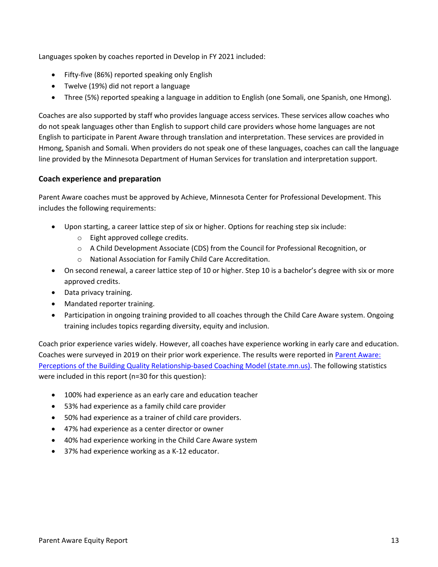Languages spoken by coaches reported in Develop in FY 2021 included:

- Fifty-five (86%) reported speaking only English
- Twelve (19%) did not report a language
- Three (5%) reported speaking a language in addition to English (one Somali, one Spanish, one Hmong).

Coaches are also supported by staff who provides language access services. These services allow coaches who do not speak languages other than English to support child care providers whose home languages are not English to participate in Parent Aware through translation and interpretation. These services are provided in Hmong, Spanish and Somali. When providers do not speak one of these languages, coaches can call the language line provided by the Minnesota Department of Human Services for translation and interpretation support.

## **Coach experience and preparation**

Parent Aware coaches must be approved by Achieve, Minnesota Center for Professional Development. This includes the following requirements:

- Upon starting, a career lattice step of six or higher. Options for reaching step six include:
	- o Eight approved college credits.
	- o A Child Development Associate (CDS) from the Council for Professional Recognition, or
	- o National Association for Family Child Care Accreditation.
- On second renewal, a career lattice step of 10 or higher. Step 10 is a bachelor's degree with six or more approved credits.
- Data privacy training.
- Mandated reporter training.
- Participation in ongoing training provided to all coaches through the Child Care Aware system. Ongoing training includes topics regarding diversity, equity and inclusion.

Coach prior experience varies widely. However, all coaches have experience working in early care and education. Coaches were surveyed in 2019 on their prior work experience. The results were reported in [Parent Aware:](https://edocs.dhs.state.mn.us/lfserver/Public/DHS-7942AA-ENG)  [Perceptions of the Building Quality Relationship-based Coaching Model \(state.mn.us\).](https://edocs.dhs.state.mn.us/lfserver/Public/DHS-7942AA-ENG) The following statistics were included in this report (n=30 for this question):

- 100% had experience as an early care and education teacher
- 53% had experience as a family child care provider
- 50% had experience as a trainer of child care providers.
- 47% had experience as a center director or owner
- 40% had experience working in the Child Care Aware system
- <span id="page-12-0"></span>• 37% had experience working as a K-12 educator.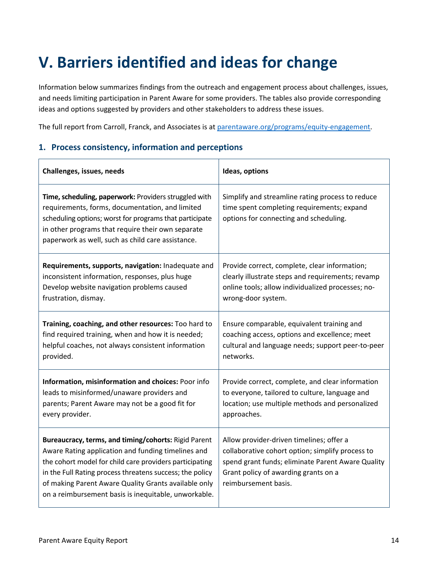# **V. Barriers identified and ideas for change**

Information below summarizes findings from the outreach and engagement process about challenges, issues, and needs limiting participation in Parent Aware for some providers. The tables also provide corresponding ideas and options suggested by providers and other stakeholders to address these issues.

The full report from Carroll, Franck, and Associates is at [parentaware.org/programs/equity-engagement.](https://www.parentaware.org/programs/equity-engagement/)

## <span id="page-13-0"></span>**1. Process consistency, information and perceptions**

| Challenges, issues, needs                                                                                                                                                                                                                                                                                                                         | Ideas, options                                                                                                                                                                                                    |  |
|---------------------------------------------------------------------------------------------------------------------------------------------------------------------------------------------------------------------------------------------------------------------------------------------------------------------------------------------------|-------------------------------------------------------------------------------------------------------------------------------------------------------------------------------------------------------------------|--|
| Time, scheduling, paperwork: Providers struggled with<br>requirements, forms, documentation, and limited<br>scheduling options; worst for programs that participate<br>in other programs that require their own separate<br>paperwork as well, such as child care assistance.                                                                     | Simplify and streamline rating process to reduce<br>time spent completing requirements; expand<br>options for connecting and scheduling.                                                                          |  |
| Requirements, supports, navigation: Inadequate and                                                                                                                                                                                                                                                                                                | Provide correct, complete, clear information;                                                                                                                                                                     |  |
| inconsistent information, responses, plus huge                                                                                                                                                                                                                                                                                                    | clearly illustrate steps and requirements; revamp                                                                                                                                                                 |  |
| Develop website navigation problems caused                                                                                                                                                                                                                                                                                                        | online tools; allow individualized processes; no-                                                                                                                                                                 |  |
| frustration, dismay.                                                                                                                                                                                                                                                                                                                              | wrong-door system.                                                                                                                                                                                                |  |
| Training, coaching, and other resources: Too hard to                                                                                                                                                                                                                                                                                              | Ensure comparable, equivalent training and                                                                                                                                                                        |  |
| find required training, when and how it is needed;                                                                                                                                                                                                                                                                                                | coaching access, options and excellence; meet                                                                                                                                                                     |  |
| helpful coaches, not always consistent information                                                                                                                                                                                                                                                                                                | cultural and language needs; support peer-to-peer                                                                                                                                                                 |  |
| provided.                                                                                                                                                                                                                                                                                                                                         | networks.                                                                                                                                                                                                         |  |
| Information, misinformation and choices: Poor info                                                                                                                                                                                                                                                                                                | Provide correct, complete, and clear information                                                                                                                                                                  |  |
| leads to misinformed/unaware providers and                                                                                                                                                                                                                                                                                                        | to everyone, tailored to culture, language and                                                                                                                                                                    |  |
| parents; Parent Aware may not be a good fit for                                                                                                                                                                                                                                                                                                   | location; use multiple methods and personalized                                                                                                                                                                   |  |
| every provider.                                                                                                                                                                                                                                                                                                                                   | approaches.                                                                                                                                                                                                       |  |
| Bureaucracy, terms, and timing/cohorts: Rigid Parent<br>Aware Rating application and funding timelines and<br>the cohort model for child care providers participating<br>in the Full Rating process threatens success; the policy<br>of making Parent Aware Quality Grants available only<br>on a reimbursement basis is inequitable, unworkable. | Allow provider-driven timelines; offer a<br>collaborative cohort option; simplify process to<br>spend grant funds; eliminate Parent Aware Quality<br>Grant policy of awarding grants on a<br>reimbursement basis. |  |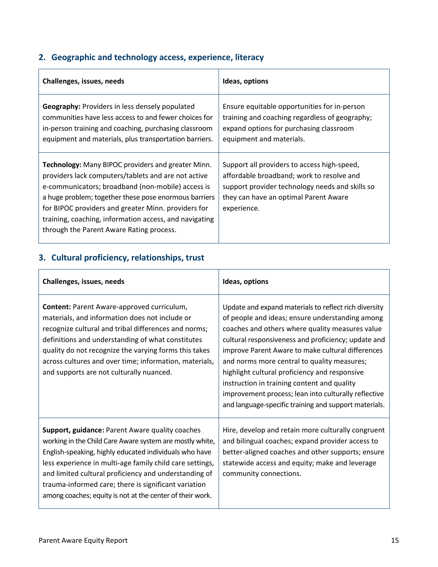# <span id="page-14-0"></span>**2. Geographic and technology access, experience, literacy**

| Challenges, issues, needs                                                                                                                                                                                                                                                                                                                                                            | Ideas, options                                                                                                                                                                                      |  |
|--------------------------------------------------------------------------------------------------------------------------------------------------------------------------------------------------------------------------------------------------------------------------------------------------------------------------------------------------------------------------------------|-----------------------------------------------------------------------------------------------------------------------------------------------------------------------------------------------------|--|
| Geography: Providers in less densely populated<br>communities have less access to and fewer choices for<br>in-person training and coaching, purchasing classroom<br>equipment and materials, plus transportation barriers.                                                                                                                                                           | Ensure equitable opportunities for in-person<br>training and coaching regardless of geography;<br>expand options for purchasing classroom<br>equipment and materials.                               |  |
| Technology: Many BIPOC providers and greater Minn.<br>providers lack computers/tablets and are not active<br>e-communicators; broadband (non-mobile) access is<br>a huge problem; together these pose enormous barriers<br>for BIPOC providers and greater Minn. providers for<br>training, coaching, information access, and navigating<br>through the Parent Aware Rating process. | Support all providers to access high-speed,<br>affordable broadband; work to resolve and<br>support provider technology needs and skills so<br>they can have an optimal Parent Aware<br>experience. |  |

# <span id="page-14-1"></span>**3. Cultural proficiency, relationships, trust**

| Challenges, issues, needs                                                                                                                                                                                                                                                                                                                                                                                       | Ideas, options                                                                                                                                                                                                                                                                                                                                                                                                                                                                                                                          |  |
|-----------------------------------------------------------------------------------------------------------------------------------------------------------------------------------------------------------------------------------------------------------------------------------------------------------------------------------------------------------------------------------------------------------------|-----------------------------------------------------------------------------------------------------------------------------------------------------------------------------------------------------------------------------------------------------------------------------------------------------------------------------------------------------------------------------------------------------------------------------------------------------------------------------------------------------------------------------------------|--|
| Content: Parent Aware-approved curriculum,<br>materials, and information does not include or<br>recognize cultural and tribal differences and norms;<br>definitions and understanding of what constitutes<br>quality do not recognize the varying forms this takes<br>across cultures and over time; information, materials,<br>and supports are not culturally nuanced.                                        | Update and expand materials to reflect rich diversity<br>of people and ideas; ensure understanding among<br>coaches and others where quality measures value<br>cultural responsiveness and proficiency; update and<br>improve Parent Aware to make cultural differences<br>and norms more central to quality measures;<br>highlight cultural proficiency and responsive<br>instruction in training content and quality<br>improvement process; lean into culturally reflective<br>and language-specific training and support materials. |  |
| Support, guidance: Parent Aware quality coaches<br>working in the Child Care Aware system are mostly white,<br>English-speaking, highly educated individuals who have<br>less experience in multi-age family child care settings,<br>and limited cultural proficiency and understanding of<br>trauma-informed care; there is significant variation<br>among coaches; equity is not at the center of their work. | Hire, develop and retain more culturally congruent<br>and bilingual coaches; expand provider access to<br>better-aligned coaches and other supports; ensure<br>statewide access and equity; make and leverage<br>community connections.                                                                                                                                                                                                                                                                                                 |  |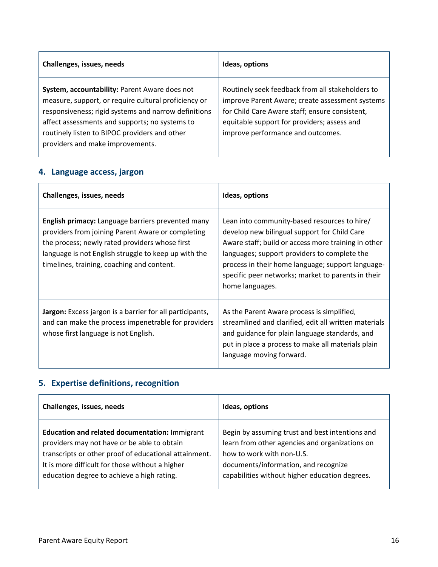| Challenges, issues, needs                                                                                                                                                                                                                                                                            | Ideas, options                                                                                                                                                                                                                            |  |
|------------------------------------------------------------------------------------------------------------------------------------------------------------------------------------------------------------------------------------------------------------------------------------------------------|-------------------------------------------------------------------------------------------------------------------------------------------------------------------------------------------------------------------------------------------|--|
| System, accountability: Parent Aware does not<br>measure, support, or require cultural proficiency or<br>responsiveness; rigid systems and narrow definitions<br>affect assessments and supports; no systems to<br>routinely listen to BIPOC providers and other<br>providers and make improvements. | Routinely seek feedback from all stakeholders to<br>improve Parent Aware; create assessment systems<br>for Child Care Aware staff; ensure consistent,<br>equitable support for providers; assess and<br>improve performance and outcomes. |  |

# <span id="page-15-0"></span>**4. Language access, jargon**

| Challenges, issues, needs                                                                                                                                                                                                                                             | Ideas, options                                                                                                                                                                                                                                                                                                                    |  |
|-----------------------------------------------------------------------------------------------------------------------------------------------------------------------------------------------------------------------------------------------------------------------|-----------------------------------------------------------------------------------------------------------------------------------------------------------------------------------------------------------------------------------------------------------------------------------------------------------------------------------|--|
| <b>English primacy:</b> Language barriers prevented many<br>providers from joining Parent Aware or completing<br>the process; newly rated providers whose first<br>language is not English struggle to keep up with the<br>timelines, training, coaching and content. | Lean into community-based resources to hire/<br>develop new bilingual support for Child Care<br>Aware staff; build or access more training in other<br>languages; support providers to complete the<br>process in their home language; support language-<br>specific peer networks; market to parents in their<br>home languages. |  |
| Jargon: Excess jargon is a barrier for all participants,<br>and can make the process impenetrable for providers<br>whose first language is not English.                                                                                                               | As the Parent Aware process is simplified,<br>streamlined and clarified, edit all written materials<br>and guidance for plain language standards, and<br>put in place a process to make all materials plain<br>language moving forward.                                                                                           |  |

# <span id="page-15-1"></span>**5. Expertise definitions, recognition**

| Challenges, issues, needs                             | Ideas, options                                  |  |
|-------------------------------------------------------|-------------------------------------------------|--|
| Education and related documentation: Immigrant        | Begin by assuming trust and best intentions and |  |
| providers may not have or be able to obtain           | learn from other agencies and organizations on  |  |
| transcripts or other proof of educational attainment. | how to work with non-U.S.                       |  |
| It is more difficult for those without a higher       | documents/information, and recognize            |  |
| education degree to achieve a high rating.            | capabilities without higher education degrees.  |  |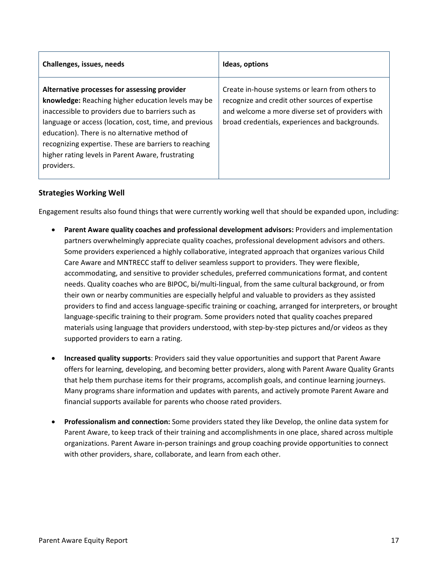| Challenges, issues, needs                                                                                                                                                                                                                                                                                                                                                                      | Ideas, options                                                                                                                                                                                            |  |
|------------------------------------------------------------------------------------------------------------------------------------------------------------------------------------------------------------------------------------------------------------------------------------------------------------------------------------------------------------------------------------------------|-----------------------------------------------------------------------------------------------------------------------------------------------------------------------------------------------------------|--|
| Alternative processes for assessing provider<br>knowledge: Reaching higher education levels may be<br>inaccessible to providers due to barriers such as<br>language or access (location, cost, time, and previous<br>education). There is no alternative method of<br>recognizing expertise. These are barriers to reaching<br>higher rating levels in Parent Aware, frustrating<br>providers. | Create in-house systems or learn from others to<br>recognize and credit other sources of expertise<br>and welcome a more diverse set of providers with<br>broad credentials, experiences and backgrounds. |  |

## **Strategies Working Well**

Engagement results also found things that were currently working well that should be expanded upon, including:

- **Parent Aware quality coaches and professional development advisors:** Providers and implementation partners overwhelmingly appreciate quality coaches, professional development advisors and others. Some providers experienced a highly collaborative, integrated approach that organizes various Child Care Aware and MNTRECC staff to deliver seamless support to providers. They were flexible, accommodating, and sensitive to provider schedules, preferred communications format, and content needs. Quality coaches who are BIPOC, bi/multi-lingual, from the same cultural background, or from their own or nearby communities are especially helpful and valuable to providers as they assisted providers to find and access language-specific training or coaching, arranged for interpreters, or brought language-specific training to their program. Some providers noted that quality coaches prepared materials using language that providers understood, with step-by-step pictures and/or videos as they supported providers to earn a rating.
- **Increased quality supports**: Providers said they value opportunities and support that Parent Aware offers for learning, developing, and becoming better providers, along with Parent Aware Quality Grants that help them purchase items for their programs, accomplish goals, and continue learning journeys. Many programs share information and updates with parents, and actively promote Parent Aware and financial supports available for parents who choose rated providers.
- **Professionalism and connection:** Some providers stated they like Develop, the online data system for Parent Aware, to keep track of their training and accomplishments in one place, shared across multiple organizations. Parent Aware in-person trainings and group coaching provide opportunities to connect with other providers, share, collaborate, and learn from each other.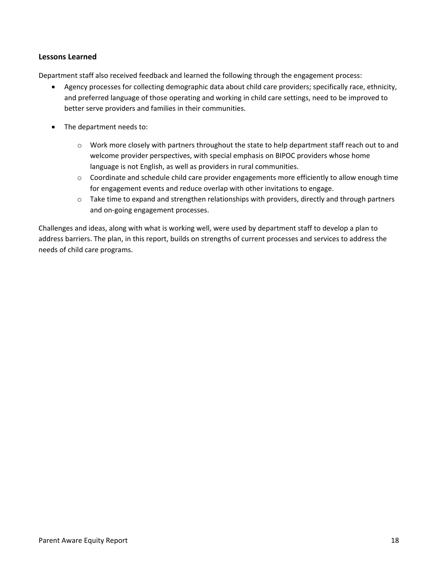## **Lessons Learned**

Department staff also received feedback and learned the following through the engagement process:

- Agency processes for collecting demographic data about child care providers; specifically race, ethnicity, and preferred language of those operating and working in child care settings, need to be improved to better serve providers and families in their communities.
- The department needs to:
	- o Work more closely with partners throughout the state to help department staff reach out to and welcome provider perspectives, with special emphasis on BIPOC providers whose home language is not English, as well as providers in rural communities.
	- $\circ$  Coordinate and schedule child care provider engagements more efficiently to allow enough time for engagement events and reduce overlap with other invitations to engage.
	- $\circ$  Take time to expand and strengthen relationships with providers, directly and through partners and on-going engagement processes.

Challenges and ideas, along with what is working well, were used by department staff to develop a plan to address barriers. The plan, in this report, builds on strengths of current processes and services to address the needs of child care programs.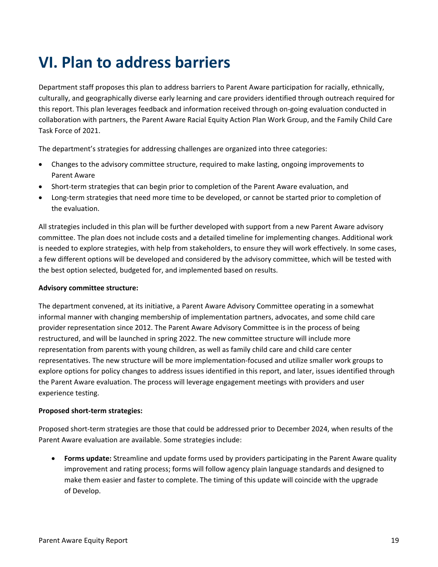# <span id="page-18-0"></span>**VI. Plan to address barriers**

Department staff proposes this plan to address barriers to Parent Aware participation for racially, ethnically, culturally, and geographically diverse early learning and care providers identified through outreach required for this report. This plan leverages feedback and information received through on-going evaluation conducted in collaboration with partners, the Parent Aware Racial Equity Action Plan Work Group, and the Family Child Care Task Force of 2021.

The department's strategies for addressing challenges are organized into three categories:

- Changes to the advisory committee structure, required to make lasting, ongoing improvements to Parent Aware
- Short-term strategies that can begin prior to completion of the Parent Aware evaluation, and
- Long-term strategies that need more time to be developed, or cannot be started prior to completion of the evaluation.

All strategies included in this plan will be further developed with support from a new Parent Aware advisory committee. The plan does not include costs and a detailed timeline for implementing changes. Additional work is needed to explore strategies, with help from stakeholders, to ensure they will work effectively. In some cases, a few different options will be developed and considered by the advisory committee, which will be tested with the best option selected, budgeted for, and implemented based on results.

### **Advisory committee structure:**

The department convened, at its initiative, a Parent Aware Advisory Committee operating in a somewhat informal manner with changing membership of implementation partners, advocates, and some child care provider representation since 2012. The Parent Aware Advisory Committee is in the process of being restructured, and will be launched in spring 2022. The new committee structure will include more representation from parents with young children, as well as family child care and child care center representatives. The new structure will be more implementation-focused and utilize smaller work groups to explore options for policy changes to address issues identified in this report, and later, issues identified through the Parent Aware evaluation. The process will leverage engagement meetings with providers and user experience testing.

### **Proposed short-term strategies:**

Proposed short-term strategies are those that could be addressed prior to December 2024, when results of the Parent Aware evaluation are available. Some strategies include:

• **Forms update:** Streamline and update forms used by providers participating in the Parent Aware quality improvement and rating process; forms will follow agency plain language standards and designed to make them easier and faster to complete. The timing of this update will coincide with the upgrade of Develop.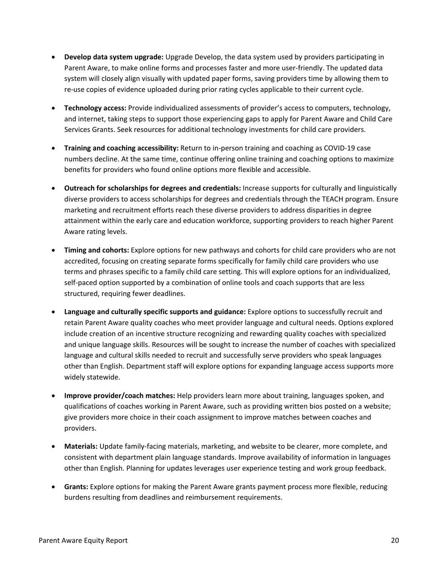- **Develop data system upgrade:** Upgrade Develop, the data system used by providers participating in Parent Aware, to make online forms and processes faster and more user-friendly. The updated data system will closely align visually with updated paper forms, saving providers time by allowing them to re-use copies of evidence uploaded during prior rating cycles applicable to their current cycle.
- **Technology access:** Provide individualized assessments of provider's access to computers, technology, and internet, taking steps to support those experiencing gaps to apply for Parent Aware and Child Care Services Grants. Seek resources for additional technology investments for child care providers.
- **Training and coaching accessibility:** Return to in-person training and coaching as COVID-19 case numbers decline. At the same time, continue offering online training and coaching options to maximize benefits for providers who found online options more flexible and accessible.
- **Outreach for scholarships for degrees and credentials:** Increase supports for culturally and linguistically diverse providers to access scholarships for degrees and credentials through the TEACH program. Ensure marketing and recruitment efforts reach these diverse providers to address disparities in degree attainment within the early care and education workforce, supporting providers to reach higher Parent Aware rating levels.
- **Timing and cohorts:** Explore options for new pathways and cohorts for child care providers who are not accredited, focusing on creating separate forms specifically for family child care providers who use terms and phrases specific to a family child care setting. This will explore options for an individualized, self-paced option supported by a combination of online tools and coach supports that are less structured, requiring fewer deadlines.
- **Language and culturally specific supports and guidance:** Explore options to successfully recruit and retain Parent Aware quality coaches who meet provider language and cultural needs. Options explored include creation of an incentive structure recognizing and rewarding quality coaches with specialized and unique language skills. Resources will be sought to increase the number of coaches with specialized language and cultural skills needed to recruit and successfully serve providers who speak languages other than English. Department staff will explore options for expanding language access supports more widely statewide.
- **Improve provider/coach matches:** Help providers learn more about training, languages spoken, and qualifications of coaches working in Parent Aware, such as providing written bios posted on a website; give providers more choice in their coach assignment to improve matches between coaches and providers.
- **Materials:** Update family-facing materials, marketing, and website to be clearer, more complete, and consistent with department plain language standards. Improve availability of information in languages other than English. Planning for updates leverages user experience testing and work group feedback.
- **Grants:** Explore options for making the Parent Aware grants payment process more flexible, reducing burdens resulting from deadlines and reimbursement requirements.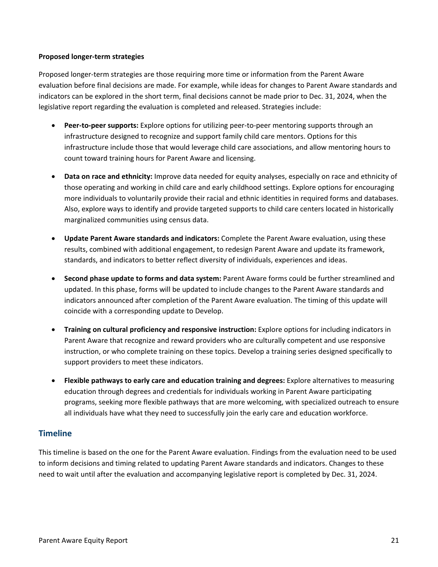### **Proposed longer-term strategies**

Proposed longer-term strategies are those requiring more time or information from the Parent Aware evaluation before final decisions are made. For example, while ideas for changes to Parent Aware standards and indicators can be explored in the short term, final decisions cannot be made prior to Dec. 31, 2024, when the legislative report regarding the evaluation is completed and released. Strategies include:

- **Peer-to-peer supports:** Explore options for utilizing peer-to-peer mentoring supports through an infrastructure designed to recognize and support family child care mentors. Options for this infrastructure include those that would leverage child care associations, and allow mentoring hours to count toward training hours for Parent Aware and licensing.
- **Data on race and ethnicity:** Improve data needed for equity analyses, especially on race and ethnicity of those operating and working in child care and early childhood settings. Explore options for encouraging more individuals to voluntarily provide their racial and ethnic identities in required forms and databases. Also, explore ways to identify and provide targeted supports to child care centers located in historically marginalized communities using census data.
- **Update Parent Aware standards and indicators:** Complete the Parent Aware evaluation, using these results, combined with additional engagement, to redesign Parent Aware and update its framework, standards, and indicators to better reflect diversity of individuals, experiences and ideas.
- **Second phase update to forms and data system:** Parent Aware forms could be further streamlined and updated. In this phase, forms will be updated to include changes to the Parent Aware standards and indicators announced after completion of the Parent Aware evaluation. The timing of this update will coincide with a corresponding update to Develop.
- **Training on cultural proficiency and responsive instruction:** Explore options for including indicators in Parent Aware that recognize and reward providers who are culturally competent and use responsive instruction, or who complete training on these topics. Develop a training series designed specifically to support providers to meet these indicators.
- **Flexible pathways to early care and education training and degrees:** Explore alternatives to measuring education through degrees and credentials for individuals working in Parent Aware participating programs, seeking more flexible pathways that are more welcoming, with specialized outreach to ensure all individuals have what they need to successfully join the early care and education workforce.

## <span id="page-20-0"></span>**Timeline**

This timeline is based on the one for the Parent Aware evaluation. Findings from the evaluation need to be used to inform decisions and timing related to updating Parent Aware standards and indicators. Changes to these need to wait until after the evaluation and accompanying legislative report is completed by Dec. 31, 2024.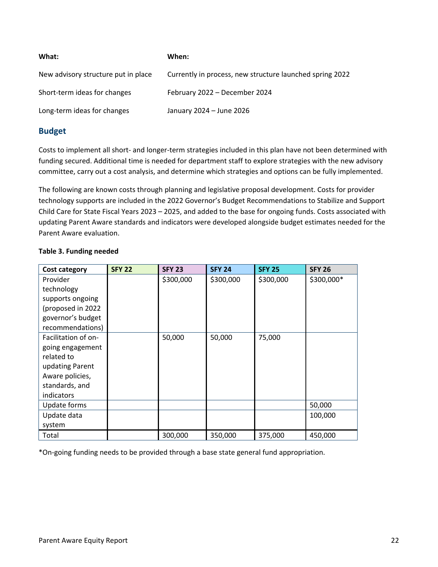| What:                               | When:                                                    |
|-------------------------------------|----------------------------------------------------------|
| New advisory structure put in place | Currently in process, new structure launched spring 2022 |
| Short-term ideas for changes        | February 2022 – December 2024                            |
| Long-term ideas for changes         | January 2024 - June 2026                                 |

## <span id="page-21-0"></span>**Budget**

Costs to implement all short- and longer-term strategies included in this plan have not been determined with funding secured. Additional time is needed for department staff to explore strategies with the new advisory committee, carry out a cost analysis, and determine which strategies and options can be fully implemented.

The following are known costs through planning and legislative proposal development. Costs for provider technology supports are included in the 2022 Governor's Budget Recommendations to Stabilize and Support Child Care for State Fiscal Years 2023 – 2025, and added to the base for ongoing funds. Costs associated with updating Parent Aware standards and indicators were developed alongside budget estimates needed for the Parent Aware evaluation.

| Cost category       | <b>SFY 22</b> | <b>SFY 23</b> | <b>SFY 24</b> | <b>SFY 25</b> | <b>SFY 26</b> |
|---------------------|---------------|---------------|---------------|---------------|---------------|
| Provider            |               | \$300,000     | \$300,000     | \$300,000     | \$300,000*    |
| technology          |               |               |               |               |               |
| supports ongoing    |               |               |               |               |               |
| (proposed in 2022   |               |               |               |               |               |
| governor's budget   |               |               |               |               |               |
| recommendations)    |               |               |               |               |               |
| Facilitation of on- |               | 50,000        | 50,000        | 75,000        |               |
| going engagement    |               |               |               |               |               |
| related to          |               |               |               |               |               |
| updating Parent     |               |               |               |               |               |
| Aware policies,     |               |               |               |               |               |
| standards, and      |               |               |               |               |               |
| indicators          |               |               |               |               |               |
| Update forms        |               |               |               |               | 50,000        |
| Update data         |               |               |               |               | 100,000       |
| system              |               |               |               |               |               |
| Total               |               | 300,000       | 350,000       | 375,000       | 450,000       |

## **Table 3. Funding needed**

\*On-going funding needs to be provided through a base state general fund appropriation.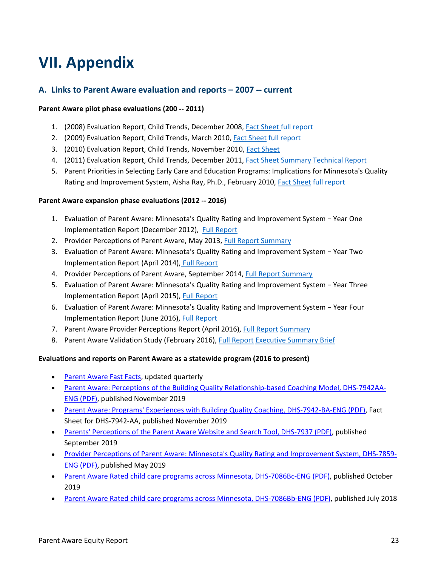# <span id="page-22-0"></span>**VII. Appendix**

## <span id="page-22-1"></span>**A. Links to Parent Aware evaluation and reports – 2007 -- current**

### **Parent Aware pilot phase evaluations (200 -- 2011)**

- 1. (2008) Evaluation Report, Child Trends, December 2008, [Fact Sheet full report](http://closegapsby5.org/files/pdf/Parent_Aware_Year1_Fact_Sheet.pdf)
- 2. (2009) Evaluation Report, Child Trends, March 2010, [Fact Sheet](http://closegapsby5.org/files/pdf/Parent_Aware_Year_2_Fact_Sheet_March_2010.pdf) [full report](http://closegapsby5.org/files/pdf/Parent_Aware_Year_2_Fact_Sheet_March_2010.pdf)
- 3. (2010) Evaluation Report, Child Trends, November 2010, [Fact Sheet](http://closegapsby5.org/files/pdf/Parent_Aware_Yr_3_Fact_Sheet_Nov_2010.pdf)
- 4. (2011) Evaluation Report, Child Trends, December 2011, [Fact Sheet Summary](http://closegapsby5.org/files/pdf/Parent_Aware_Year_4_Final_Fact_Sheet_Dec_11.pdf) [Technical Report](http://closegapsby5.org/files/pdf/Parent_Aware_Year_4_Final_Evaluation_Technical_Report_Dec_2011.pdf)
- 5. Parent Priorities in Selecting Early Care and Education Programs: Implications for Minnesota's Quality Rating and Improvement System, Aisha Ray, Ph.D., February 2010, [Fact Sheet](http://closegapsby5.org/files/pdf/Dr_Ray_Fact_Sheet_Parent_Priorities_Feb_2010.pdf) [full report](http://closegapsby5.org/files/pdf/Dr_Ray_Fact_Sheet_Parent_Priorities_Feb_2010.pdf)

### **Parent Aware expansion phase evaluations (2012 -- 2016)**

- 1. Evaluation of Parent Aware: Minnesota's Quality Rating and Improvement System − Year One Implementation Report (December 2012), [Full Report](http://closegapsby5.org/files/pdf/PA_Year_1_Implementation_Report.pdf)
- 2. Provider Perceptions of Parent Aware, May 2013, [Full Report](http://closegapsby5.org/files/pdf/5.2013%20Parent%20Aware%20Provider%20Perceptions%20Survey_FINAL%20REVISED.pdf) [Summary](http://closegapsby5.org/files/pdf/PA%20Evaluation%20In%20Brief.pdf)
- 3. Evaluation of Parent Aware: Minnesota's Quality Rating and Improvement System − Year Two Implementation Report (April 2014), [Full Report](http://closegapsby5.org/files/pdf/Year%202%20Evaluation%20Report%20FINAL.pdf)
- 4. Provider Perceptions of Parent Aware, September 2014, [Full Report](http://closegapsby5.org/files/pdf/Parent%20Aware%20Provider%20Perceptions%20Report%202014%20final_V3.pdf) [Summary](http://closegapsby5.org/files/pdf/2014_Provider_Perceptions_Summary.pdf)
- 5. Evaluation of Parent Aware: Minnesota's Quality Rating and Improvement System − Year Three Implementation Report (April 2015), [Full Report](http://closegapsby5.org/files/pdf/Year%203%20Parent%20Aware%20Evaluation%20Report%20FINAL_05072015.pdf)
- 6. Evaluation of Parent Aware: Minnesota's Quality Rating and Improvement System − Year Four Implementation Report (June 2016), [Full Report](http://closegapsby5.org/files/pdf/Parent%20Aware%20Evaluation%20Year%204%20Report_FINAL.pdf)
- 7. Parent Aware Provider Perceptions Report (April 2016), [Full Report](http://closegapsby5.org/files/pdf/Parent%20Aware%20Provider%20Perceptions%20Report%202015_FINAL.pdf) [Summary](https://s3.amazonaws.com/Omnera/VerV/s3finder/55/pdf/Provider%20Perceptions%20InBRIEF%202015.pdf)
- 8. Parent Aware Validation Study (February 2016), [Full Report](http://closegapsby5.org/files/pdf/Parent%20Aware%20Validation%20Report_Final.pdf) [Executive Summary](https://s3.amazonaws.com/Omnera/VerV/s3finder/55/pdf/Parent%20Aware%20Validation%20Executive%20Summary_Final.pdf) [Brief](https://s3.amazonaws.com/Omnera/VerV/s3finder/55/pdf/Parent%20Aware%20Validation%20Brief_Final.pdf)

### **Evaluations and reports on Parent Aware as a statewide program (2016 to present)**

- [Parent Aware Fast Facts,](https://www.developtoolmn.org/fastfacts.html) updated quarterly
- [Parent Aware: Perceptions of the Building Quality Relationship-based Coaching Model, DHS-7942AA-](https://edocs.dhs.state.mn.us/lfserver/Public/DHS-7942AA-ENG)[ENG \(PDF\),](https://edocs.dhs.state.mn.us/lfserver/Public/DHS-7942AA-ENG) published November 2019
- [Parent Aware: Programs' Experiences with Building Quality Coaching,](http://edocs.dhs.state.mn.us/lfserver/Public/DHS-7942BA-ENG) DHS-7942-BA-ENG (PDF), Fact Sheet for DHS-7942-AA, published November 2019
- [Parents' Perceptions of the Parent Aware Website and Search Tool,](http://edocs.dhs.state.mn.us/lfserver/Public/DHS-7937A-ENG) DHS-7937 (PDF), published September 2019
- [Provider Perceptions of Parent Aware: Minnesota's Quality Rating and Improvement System, DHS-7859-](https://edocs.dhs.state.mn.us/lfserver/Public/DHS-7859-ENG) [ENG \(PDF\),](https://edocs.dhs.state.mn.us/lfserver/Public/DHS-7859-ENG) published May 2019
- [Parent Aware Rated child care programs across Minnesota,](https://edocs.dhs.state.mn.us/lfserver/Public/DHS-7086Bc-ENG) DHS-7086Bc-ENG (PDF), published October 2019
- [Parent Aware Rated child care programs across Minnesota,](https://edocs.dhs.state.mn.us/lfserver/Public/DHS-7086Bb-ENG) DHS-7086Bb-ENG (PDF), published July 2018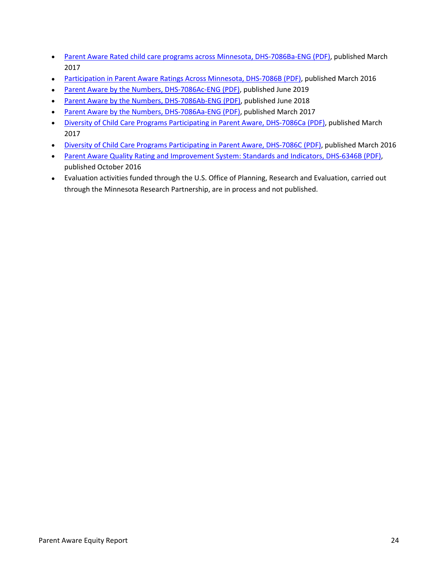- [Parent Aware Rated child care programs across Minnesota,](https://edocs.dhs.state.mn.us/lfserver/Public/DHS-7086Ba-ENG) DHS-7086Ba-ENG (PDF), published March 2017
- [Participation in Parent Aware Ratings Across Minnesota,](https://edocs.dhs.state.mn.us/lfserver/Public/DHS-7086B-ENG) DHS-7086B (PDF), published March 2016
- [Parent Aware by the Numbers,](https://edocs.dhs.state.mn.us/lfserver/Public/DHS-7086Ac-ENG) DHS-7086Ac-ENG (PDF), published June 2019
- [Parent Aware by the Numbers, DHS-7086Ab-ENG \(PDF\),](https://edocs.dhs.state.mn.us/lfserver/Public/DHS-7086Ab-ENG) published June 2018
- [Parent Aware by the Numbers,](http://edocs.dhs.state.mn.us/lfserver/Public/DHS-7086Aa-ENG) DHS-7086Aa-ENG (PDF), published March 2017
- [Diversity of Child Care Programs](https://edocs.dhs.state.mn.us/lfserver/Public/DHS-7086Ca-ENG) Participating in Parent Aware, DHS-7086Ca (PDF), published March 2017
- [Diversity of Child Care Programs Participating in Parent Aware,](https://edocs.dhs.state.mn.us/lfserver/Public/DHS-7086C-ENG) DHS-7086C (PDF), published March 2016
- [Parent Aware Quality Rating and Improvement System: Standards and Indicators,](https://edocs.dhs.state.mn.us/lfserver/Public/DHS-6346B-ENG) DHS-6346B (PDF), published October 2016
- Evaluation activities funded through the U.S. Office of Planning, Research and Evaluation, carried out through the Minnesota Research Partnership, are in process and not published.